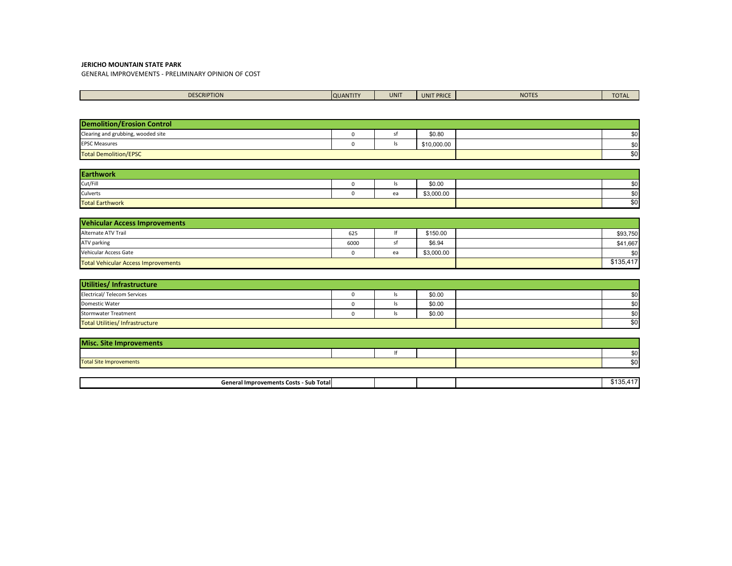GENERAL IMPROVEMENTS - PRELIMINARY OPINION OF COST

| <b>DESCRIPTION</b> | <b>QUANTITY</b> | <b>Contract Contract Contract Contract Contract Contract Contract Contract Contract Contract Contract Contract Co</b><br><b>UNIT</b> | <b>'IT PRICE</b><br>UNI | NOTES | <b>TOTAL</b> |
|--------------------|-----------------|--------------------------------------------------------------------------------------------------------------------------------------|-------------------------|-------|--------------|
|                    |                 |                                                                                                                                      |                         |       |              |

| <b>Demolition/Erosion Control</b>  |  |  |             |     |
|------------------------------------|--|--|-------------|-----|
| Clearing and grubbing, wooded site |  |  | \$0.80      | \$0 |
| <b>EPSC Measures</b>               |  |  | \$10,000.00 | \$0 |
| <b>Total Demolition/EPSC</b>       |  |  |             | \$0 |

| <b>Earthwork</b>       |  |    |            |  |     |  |
|------------------------|--|----|------------|--|-----|--|
| Cut/Fill               |  | 15 | \$0.00     |  | \$0 |  |
| Culverts               |  | ea | \$3,000.00 |  | \$0 |  |
| <b>Total Earthwork</b> |  |    |            |  | \$0 |  |

| Vehicular Access Improvements              |      |    |            |           |
|--------------------------------------------|------|----|------------|-----------|
| Alternate ATV Trail                        | 625  |    | \$150.00   | \$93,750  |
| ATV parking                                | 6000 |    | \$6.94     | \$41,667  |
| Vehicular Access Gate                      |      | ea | \$3,000.00 | \$0       |
| <b>Total Vehicular Access Improvements</b> |      |    |            | \$135,417 |

| Utilities/Infrastructure              |     |        |     |
|---------------------------------------|-----|--------|-----|
| <b>Electrical/ Telecom Services</b>   | ls  | \$0.00 | \$0 |
| Domestic Water                        | ls. | \$0.00 | \$0 |
| <b>Stormwater Treatment</b>           | ls. | \$0.00 | \$0 |
| <b>Total Utilities/Infrastructure</b> | \$0 |        |     |

| <b>Misc. Site Improvements</b> |  |  |  |  |          |  |
|--------------------------------|--|--|--|--|----------|--|
|                                |  |  |  |  | $\sim$   |  |
| <b>Total Site Improvements</b> |  |  |  |  | ¢Λ.<br>Ψ |  |

| .<br>- Sub Totall<br>- General Improvements Costs<br>,,,,, |  |  |  |
|------------------------------------------------------------|--|--|--|
|                                                            |  |  |  |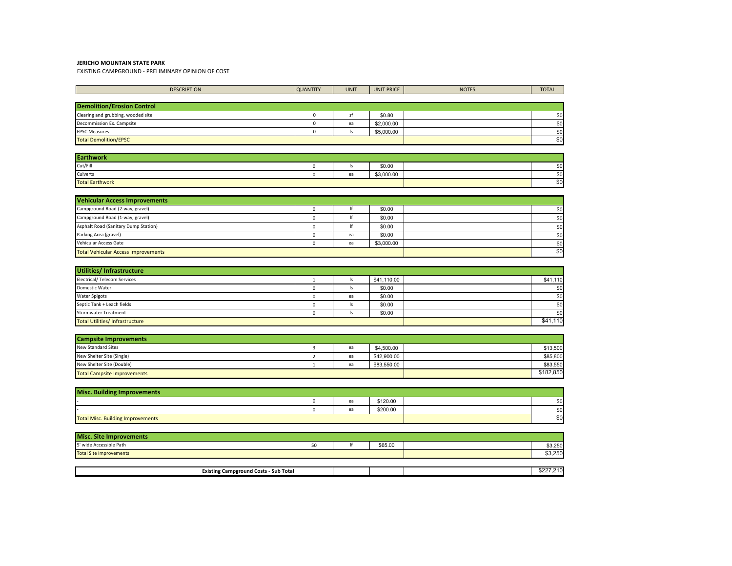EXISTING CAMPGROUND - PRELIMINARY OPINION OF COST

| <b>DESCRIPTION</b>                         | <b>QUANTITY</b>     | <b>UNIT</b>   | <b>UNIT PRICE</b> | <b>NOTES</b> | <b>TOTAL</b> |  |  |  |
|--------------------------------------------|---------------------|---------------|-------------------|--------------|--------------|--|--|--|
|                                            |                     |               |                   |              |              |  |  |  |
| <b>Demolition/Erosion Control</b>          |                     |               |                   |              |              |  |  |  |
| Clearing and grubbing, wooded site         | $\mathsf{O}\xspace$ | sf            | \$0.80            |              | \$0          |  |  |  |
| Decommission Ex. Campsite                  | $\pmb{0}$           | ea            | \$2,000.00        |              | \$0          |  |  |  |
| <b>EPSC Measures</b>                       | $\mathbf 0$         | $\vert$ s     | \$5,000.00        |              | \$0          |  |  |  |
| <b>Total Demolition/EPSC</b>               |                     |               |                   |              | \$0          |  |  |  |
|                                            |                     |               |                   |              |              |  |  |  |
| <b>Earthwork</b>                           |                     |               |                   |              |              |  |  |  |
| Cut/Fill                                   | $\mathsf 0$         | Is            | \$0.00            |              | \$0          |  |  |  |
| Culverts                                   | $\pmb{0}$           | ea            | \$3,000.00        |              | \$0          |  |  |  |
| <b>Total Earthwork</b>                     |                     |               |                   |              | \$0          |  |  |  |
|                                            |                     |               |                   |              |              |  |  |  |
| <b>Vehicular Access Improvements</b>       |                     |               |                   |              |              |  |  |  |
| Campground Road (2-way, gravel)            | $\mathsf 0$         | $\sf lf$      | \$0.00            |              | \$0          |  |  |  |
| Campground Road (1-way, gravel)            | $\mathbf 0$         | If            | \$0.00            |              | \$0          |  |  |  |
| Asphalt Road (Sanitary Dump Station)       | $\mathbf 0$         | $ f\>$        | \$0.00            |              | \$0          |  |  |  |
| Parking Area (gravel)                      | $\mathsf{O}\xspace$ | ea            | \$0.00            |              | \$0          |  |  |  |
| Vehicular Access Gate                      | $\mathsf 0$         | ea            | \$3,000.00        |              | \$0<br>\$0   |  |  |  |
| <b>Total Vehicular Access Improvements</b> |                     |               |                   |              |              |  |  |  |
|                                            |                     |               |                   |              |              |  |  |  |
| <b>Utilities/Infrastructure</b>            |                     |               |                   |              |              |  |  |  |
| <b>Electrical/ Telecom Services</b>        | $\mathbf{1}$        | Is            | \$41,110.00       |              | \$41,110     |  |  |  |
| Domestic Water                             | $\mathsf 0$         | $\mathsf{ls}$ | \$0.00            |              | \$0          |  |  |  |
| <b>Water Spigots</b>                       | $\mathbf 0$         | ea            | \$0.00            |              | \$0          |  |  |  |
| Septic Tank + Leach fields                 | $\mathsf 0$         | $\mathsf{ls}$ | \$0.00            |              | \$0          |  |  |  |
| <b>Stormwater Treatment</b>                | $\mathsf 0$         | $\mathsf{ls}$ | \$0.00            |              | \$0          |  |  |  |
| <b>Total Utilities/Infrastructure</b>      |                     |               |                   |              | \$41,110     |  |  |  |
|                                            |                     |               |                   |              |              |  |  |  |
| <b>Campsite Improvements</b>               |                     |               |                   |              |              |  |  |  |
| <b>New Standard Sites</b>                  | 3                   | ea            | \$4,500.00        |              | \$13,500     |  |  |  |
| New Shelter Site (Single)                  | $\overline{2}$      | ea            | \$42,900.00       |              | \$85,800     |  |  |  |
| New Shelter Site (Double)                  | $\mathbf{1}$        | ea            | \$83,550.00       |              | \$83,550     |  |  |  |
| <b>Total Campsite Improvements</b>         |                     |               |                   |              | \$182,850    |  |  |  |
|                                            |                     |               |                   |              |              |  |  |  |
| <b>Misc. Building Improvements</b>         |                     |               |                   |              |              |  |  |  |
|                                            | $\mathsf 0$         | ea            | \$120.00          |              | \$0          |  |  |  |
|                                            | $\mathsf 0$         | ea            | \$200.00          |              | \$0          |  |  |  |
| <b>Total Misc. Building Improvements</b>   |                     |               |                   |              | \$0          |  |  |  |
|                                            |                     |               |                   |              |              |  |  |  |
| <b>Misc. Site Improvements</b>             |                     |               |                   |              |              |  |  |  |
| 5' wide Accessible Path                    | 50                  | If            | \$65.00           |              | \$3,250      |  |  |  |
| <b>Total Site Improvements</b>             |                     |               |                   |              | \$3,250      |  |  |  |

| Totall<br>Cost<br>amperounc<br>$-$ victin $\sigma$<br>- Sub |  |  | $\tilde{\phantom{a}}$ |
|-------------------------------------------------------------|--|--|-----------------------|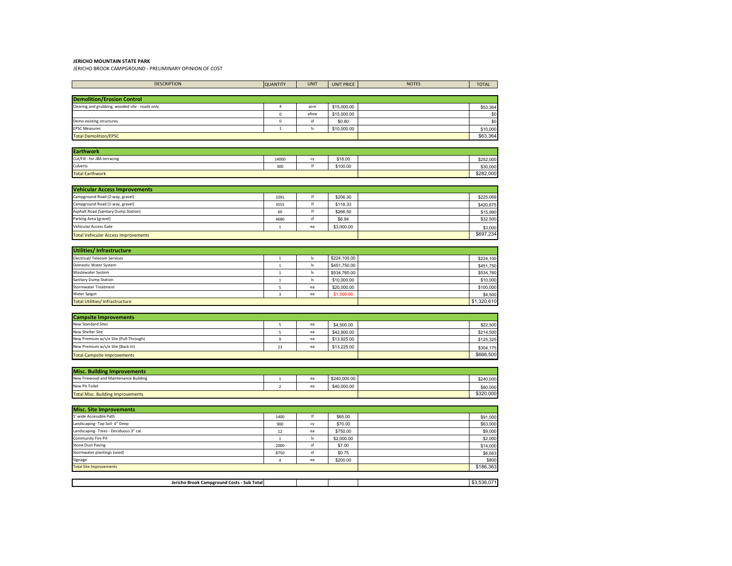Total Site Improvements

JERICHO BROOK CAMPGROUND - PRELIMINARY OPINION OF COST

| <b>DESCRIPTION</b>                              | <b>QUANTITY</b> | <b>UNIT</b>                       | <b>UNIT PRICE</b> | <b>NOTES</b> | <b>TOTAL</b> |
|-------------------------------------------------|-----------------|-----------------------------------|-------------------|--------------|--------------|
|                                                 |                 |                                   |                   |              |              |
| <b>Demolition/Erosion Control</b>               |                 |                                   |                   |              |              |
| Clearing and grubbing, wooded site - roads only | 4               | acre                              | \$15,000.00       |              | \$53,364     |
|                                                 | $\mathbf 0$     | allow                             | \$15,000.00       |              | \$0          |
| Demo existing structures                        | $\mathsf{o}\,$  | sf                                | \$0.80            |              | \$0          |
| <b>EPSC Measures</b>                            | $\mathbf{1}$    | Is                                | \$10,000.00       |              | \$10,000     |
| <b>Total Demolition/EPSC</b>                    |                 |                                   |                   |              | \$63,364     |
| <b>Earthwork</b>                                |                 |                                   |                   |              |              |
| Cut/Fill - for JBA terracing                    | 14000           | cy                                | \$18.00           |              | \$252,000    |
| Culverts                                        | 300             | lf                                | \$100.00          |              | \$30,000     |
| <b>Total Earthwork</b>                          |                 |                                   |                   |              | \$282,000    |
|                                                 |                 |                                   |                   |              |              |
| <b>Vehicular Access Improvements</b>            |                 |                                   |                   |              |              |
| Campground Road (2-way, gravel)                 | 1091            | If                                | \$206.30          |              | \$225,069    |
| Campground Road (1-way, gravel)                 | 3555            | $\ensuremath{\mathsf{If}}\xspace$ | \$118.33          |              | \$420,675    |
| Asphalt Road (Sanitary Dump Station)            | 60              | If                                | \$266.50          |              | \$15,990     |
| Parking Area (gravel)                           | 4680            | sf                                | \$6.94            |              | \$32,500     |
| Vehicular Access Gate                           | $\mathbf{1}$    | ea                                | \$3,000.00        |              | \$3,000      |
| <b>Total Vehicular Access Improvements</b>      |                 |                                   |                   |              | \$697,234    |
|                                                 |                 |                                   |                   |              |              |
| Utilities/Infrastructure                        |                 |                                   |                   |              |              |
| <b>Electrical/ Telecom Services</b>             | $\mathbf{1}$    | Is                                | \$224,100.00      |              | \$224,100    |
| Domestic Water System                           | $\mathbf{1}$    | Is                                | \$451,750.00      |              | \$451,750    |
| Wastewater System                               | $\mathbf 1$     | $\mathsf{ls}$                     | \$534,760.00      |              | \$534,760    |
| Sanitary Dump Station                           | $\mathbf 1$     | $\mathsf{I}\mathsf{s}$            | \$10,000.00       |              | \$10,000     |
| Stormwater Treatment                            | 5               | ea                                | \$20,000.00       |              | \$100,000    |
| Water Spigot                                    | 3               | ea                                | \$1,500.00        |              | \$4,500      |
| <b>Total Utilities/Infrastructure</b>           |                 |                                   |                   |              | \$1,320,610  |
|                                                 |                 |                                   |                   |              |              |
| <b>Campsite Improvements</b>                    |                 |                                   |                   |              |              |
| <b>New Standard Sites</b>                       | 5               | ea                                | \$4,500.00        |              | \$22,500     |
| New Shelter Site                                | 5               | ea                                | \$42,900.00       |              | \$214,500    |
| New Premium w/s/e Site (Pull-Through)           | 9               | ea                                | \$13,925.00       |              | \$125,325    |
| New Premium w/s/e Site (Back-In)                | 23              | ea                                | \$13,225.00       |              | \$304,175    |
| <b>Total Campsite Improvements</b>              |                 |                                   |                   |              | \$666,500    |
|                                                 |                 |                                   |                   |              |              |
| <b>Misc. Building Improvements</b>              |                 |                                   |                   |              |              |
| New Firewood and Maintenance Building           | $\mathbf{1}$    | ea                                | \$240,000.00      |              | \$240,000    |
| New Pit Toilet                                  | $\overline{2}$  | ea                                | \$40,000.00       |              | \$80,000     |
| <b>Total Misc. Building Improvements</b>        |                 |                                   |                   |              | \$320,000    |
| <b>Misc. Site Improvements</b>                  |                 |                                   |                   |              |              |
| 5' wide Accessible Path                         | 1400            | If                                | \$65.00           |              | \$91,000     |
| Landscaping-Top Soil- 4" Deep                   | 900             | cy                                | \$70.00           |              | \$63,000     |
| Landscaping-Trees - Deciduous 3" cal.           | $12\,$          | ea                                | \$750.00          |              | \$9,000      |
| Community Fire Pit                              | $\mathbf 1$     | $\mathsf{ls}$                     | \$2,000.00        |              | \$2,000      |
| <b>Stone Dust Paving</b>                        | 2000            | sf                                | \$7.00            |              | \$14,000     |
| Stormwater plantings (seed)                     | 8750            | sf                                | \$0.75            |              | \$6,563      |
|                                                 |                 |                                   |                   |              |              |

| . Brook<br>leric<br>: Campground Costs - Sub Totall |  |  | . |
|-----------------------------------------------------|--|--|---|

Signage **each and the contract of the contract of the contract of the contract of the contract of the contract of the contract of the contract of the contract of the contract of the contract of the contract of the contract** 

8800 \$200.00 \$800 \$800 \$800 \$800 \$800 \$800 \$186,363 \$800 \$186,363 \$800 \$800 \$186,363 \$800 \$186,363 \$800 \$800 \$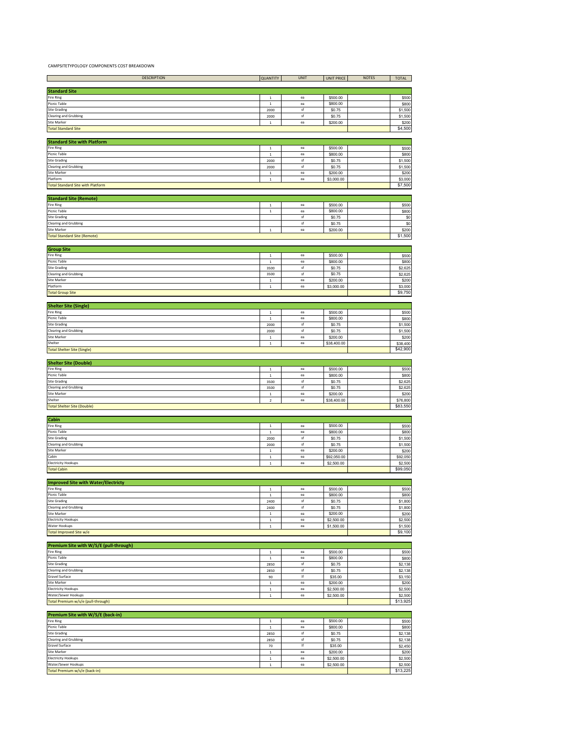CAMPSITETYPOLOGY COMPONENTS COST BREAKDOWN

| <b>DESCRIPTION</b>                                         | <b>QUANTITY</b> | <b>UNIT</b> | <b>UNIT PRICE</b> | <b>NOTES</b> | <b>TOTAL</b> |
|------------------------------------------------------------|-----------------|-------------|-------------------|--------------|--------------|
|                                                            |                 |             |                   |              |              |
| <b>Standard Site</b>                                       |                 |             |                   |              |              |
| Fire Ring                                                  | $\mathbf{1}$    | ea          | \$500.00          |              | \$500        |
| Picnic Table                                               | $\,$ 1 $\,$     | ea          | \$800.00          |              | \$800        |
| Site Grading                                               | 2000            | sf          | \$0.75            |              | \$1,500      |
| <b>Clearing and Grubbing</b>                               | 2000            | sf          | \$0.75            |              | \$1,500      |
| <b>Site Marker</b>                                         | $\mathbf{1}$    | ea          | \$200.00          |              | \$200        |
| <b>Total Standard Site</b>                                 |                 |             |                   |              | \$4,500      |
|                                                            |                 |             |                   |              |              |
| <b>Standard Site with Platform</b>                         |                 |             |                   |              |              |
| ire Ring                                                   | $\,$ 1          | ea          | \$500.00          |              | \$500        |
| Picnic Table                                               |                 | ea          | \$800.00          |              | \$800        |
|                                                            | $\,$ 1          |             |                   |              |              |
| <b>Site Grading</b>                                        | 2000            | sf<br>sf    | \$0.75            |              | \$1,500      |
| <b>Clearing and Grubbing</b>                               | 2000            |             | \$0.75            |              | \$1,500      |
| <b>Site Marker</b>                                         | $\,$ 1          | ea          | \$200.00          |              | \$200        |
| Platform                                                   | $\,$ 1          | ea          | \$3,000.00        |              | \$3,000      |
| <b>Total Standard Site with Platform</b>                   |                 |             |                   |              | \$7,500      |
|                                                            |                 |             |                   |              |              |
| <b>Standard Site (Remote)</b>                              |                 |             |                   |              |              |
| Fire Ring                                                  | $\,$ 1 $\,$     | ea          | \$500.00          |              | \$500        |
| Picnic Table                                               | $\,$ 1          | ea          | \$800.00          |              | \$800        |
| <b>Site Grading</b>                                        |                 | sf          | \$0.75            |              | \$0          |
| <b>Clearing and Grubbing</b>                               |                 | sf          | \$0.75            |              | \$0          |
| Site Marker                                                | $\,$ 1 $\,$     | ea          | \$200.00          |              | \$200        |
| <b>Total Standard Site (Remote)</b>                        |                 |             |                   |              | \$1,500      |
|                                                            |                 |             |                   |              |              |
|                                                            |                 |             |                   |              |              |
| <b>Group Site</b><br>Fire Ring                             |                 | ea          |                   |              |              |
|                                                            | $\overline{1}$  |             | \$500.00          |              | \$500        |
| Picnic Table                                               | $\,$ 1          | ea          | \$800.00          |              | \$800        |
| Site Grading                                               | 3500            | sf          | \$0.75            |              | \$2,625      |
| <b>Clearing and Grubbing</b>                               | 3500            | sf          | \$0.75            |              | \$2,625      |
| Site Marker                                                | $\,$ 1 $\,$     | ea          | \$200.00          |              | \$200        |
| Platform                                                   | $\,$ 1 $\,$     | ea          | \$3,000.00        |              | \$3,000      |
| <b>Total Group Site</b>                                    |                 |             |                   |              | \$9,750      |
|                                                            |                 |             |                   |              |              |
| <b>Shelter Site (Single)</b>                               |                 |             |                   |              |              |
| Fire Ring                                                  | $\,$ 1          | ea          | \$500.00          |              | \$500        |
| Picnic Table                                               | $\,$ 1 $\,$     | ea          | \$800.00          |              | \$800        |
| Site Grading                                               | 2000            | sf          | \$0.75            |              | \$1,500      |
|                                                            |                 |             |                   |              |              |
| <b>Clearing and Grubbing</b><br>Site Marker                | 2000            | sf          | \$0.75            |              | \$1,500      |
|                                                            | $\,$ 1 $\,$     | ea          | \$200.00          |              | \$200        |
| Shelter                                                    | $\,$ 1 $\,$     | ea          | \$38,400.00       |              | \$38,400     |
| <b>Total Shelter Site (Single)</b>                         |                 |             |                   |              | \$42,900     |
|                                                            |                 |             |                   |              |              |
| <b>Shelter Site (Double)</b>                               |                 |             |                   |              |              |
| Fire Ring                                                  | $\mathbf{1}$    | ea          | \$500.00          |              | \$500        |
| Picnic Table                                               | $\,$ 1          | ea          | \$800.00          |              | \$800        |
| site Grading                                               | 3500            | sf          | \$0.75            |              | \$2,625      |
| <b>Clearing and Grubbing</b>                               | 3500            | sf          | \$0.75            |              | \$2,625      |
| Site Marker                                                | $\,$ 1 $\,$     | ea          | \$200.00          |              | \$200        |
| Shelter                                                    | $\mathbf 2$     | ea          | \$38,400.00       |              | \$76,800     |
| <b>Total Shelter Site (Double)</b>                         |                 |             |                   |              | \$83,550     |
|                                                            |                 |             |                   |              |              |
| Cabin                                                      |                 |             |                   |              |              |
| Fire Ring                                                  | $\,$ 1          | ea          | \$500.00          |              | \$500        |
| Picnic Table                                               | $\,$ 1          | ea          | \$800.00          |              | \$800        |
| <b>Site Grading</b>                                        | 2000            | sf          | \$0.75            |              | \$1,500      |
| <b>Clearing and Grubbing</b>                               |                 | sf          |                   |              |              |
| Site Marker                                                | 2000            |             | \$0.75            |              | \$1,500      |
|                                                            | $\mathbf{1}$    | ea          | \$200.00          |              | \$200        |
| Cabin                                                      | $\,1\,$         | ea          | \$92,050.00       |              | \$92,050     |
| <b>Electricity Hookups</b>                                 | $\,$ 1 $\,$     | ea          | \$2,500.00        |              | \$2,500      |
| <b>Total Cabin</b>                                         |                 |             |                   |              | \$99,050     |
|                                                            |                 |             |                   |              |              |
| <b>Improved Site with Water/Electricty</b>                 |                 |             |                   |              |              |
| Fire Ring                                                  | $\,$ 1 $\,$     | ea          | \$500.00          |              | \$500        |
| Picnic Table                                               | 1               | ea          | \$800.00          |              | \$800        |
| <b>Site Grading</b>                                        | 2400            | sf          | \$0.75            |              | \$1,800      |
| <b>Clearing and Grubbing</b>                               | 2400            | sf          | \$0.75            |              | \$1,800      |
| <b>Site Marker</b>                                         | $\,$ 1          | ea          | \$200.00          |              | \$200        |
| <b>Electricity Hookups</b>                                 | $\,$ 1 $\,$     | ea          | \$2,500.00        |              | \$2,500      |
| Water Hookups                                              | $\,$ 1          | ea          | \$1,500.00        |              | \$1,500      |
| Total Improved Site w/e                                    |                 |             |                   |              | \$9,100      |
|                                                            |                 |             |                   |              |              |
|                                                            |                 |             |                   |              |              |
| Premium Site with W/S/E (pull-through)<br><b>Fire Ring</b> | $\,$ 1 $\,$     | ea          |                   |              |              |
| <b>Picnic Table</b>                                        |                 | ea          | \$500.00          |              | \$500        |
|                                                            | $\,$ 1          |             | \$800.00          |              | \$800        |
| <b>Site Grading</b>                                        | 2850            | sf          | \$0.75            |              | \$2,138      |
| <b>Clearing and Grubbing</b>                               | 2850            | sf          | \$0.75            |              | \$2,138      |
| Gravel Surface                                             | 90              | lf          | \$35.00           |              | \$3,150      |
| <b>Site Marker</b>                                         | $\,$ 1          | ea          | \$200.00          |              | \$200        |
| <b>Electricity Hookups</b>                                 | $\,$ 1 $\,$     | ea          | \$2,500.00        |              | \$2,500      |
| Water/Sewer Hookups                                        | $\,1\,$         | ea          | \$2,500.00        |              | \$2,500      |
| Total Premium w/s/e (pull-through)                         |                 |             |                   |              | \$13,925     |
|                                                            |                 |             |                   |              |              |
| Premium Site with W/S/E (back-in)                          |                 |             |                   |              |              |
| Fire Ring                                                  | $\,$ 1 $\,$     | ea          | \$500.00          |              | \$500        |
| <b>Picnic Table</b>                                        | $\,$ 1          | ea          | \$800.00          |              | \$800        |
| <b>Site Grading</b>                                        | 2850            | sf          | \$0.75            |              | \$2,138      |
| <b>Clearing and Grubbing</b>                               | 2850            | sf          | \$0.75            |              | \$2,138      |
| Gravel Surface                                             | $70$            | lf          | \$35.00           |              | \$2,450      |
| <b>Site Marker</b>                                         | $\,$ 1 $\,$     | ea          | \$200.00          |              | \$200        |
| <b>Electricity Hookups</b>                                 |                 | ea          |                   |              | \$2,500      |
|                                                            | $\mathbf 1$     |             | \$2,500.00        |              |              |
| Water/Sewer Hookups                                        | $\,$ 1          | ea          | \$2,500.00        |              | \$2,500      |
| Total Premium w/s/e (back-in)                              |                 |             |                   |              | \$13,225     |
|                                                            |                 |             |                   |              |              |